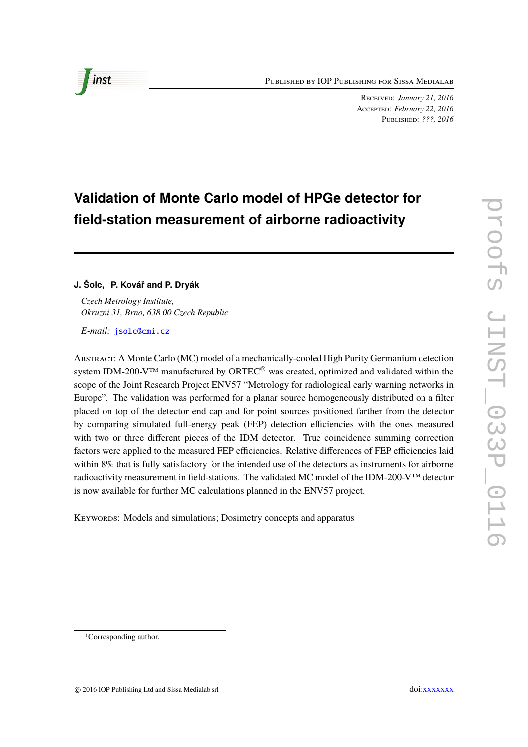Published by IOP Publishing for Sissa Medialab

Received: *January 21, 2016* Accepted: *February 22, 2016* Published: *???, 2016*

# **Validation of Monte Carlo model of HPGe detector for field-station measurement of airborne radioactivity**

## **J. Šolc,**<sup>1</sup> **P. Kovář and P. Dryák**

*Czech Metrology Institute, Okruzni 31, Brno, 638 00 Czech Republic*

*E-mail:* [jsolc@cmi.cz](mailto:jsolc@cmi.cz)

Abstract: A Monte Carlo (MC) model of a mechanically-cooled High Purity Germanium detection system IDM-200-V<sup>™</sup> manufactured by ORTEC<sup>®</sup> was created, optimized and validated within the scope of the Joint Research Project ENV57 "Metrology for radiological early warning networks in Europe". The validation was performed for a planar source homogeneously distributed on a filter placed on top of the detector end cap and for point sources positioned farther from the detector by comparing simulated full-energy peak (FEP) detection efficiencies with the ones measured with two or three different pieces of the IDM detector. True coincidence summing correction factors were applied to the measured FEP efficiencies. Relative differences of FEP efficiencies laid within 8% that is fully satisfactory for the intended use of the detectors as instruments for airborne radioactivity measurement in field-stations. The validated MC model of the IDM-200-V™ detector is now available for further MC calculations planned in the ENV57 project.

KEYWORDS: Models and simulations; Dosimetry concepts and apparatus



<sup>1</sup>Corresponding author.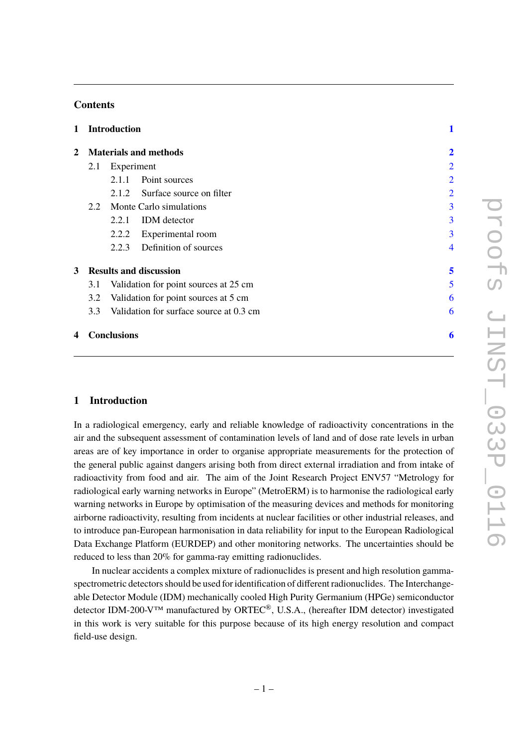# **Contents**

| $\mathbf{1}$ | <b>Introduction</b>                          |                    |                                         |                         |
|--------------|----------------------------------------------|--------------------|-----------------------------------------|-------------------------|
| $\mathbf{2}$ | <b>Materials and methods</b>                 |                    |                                         | $\overline{\mathbf{2}}$ |
|              | 2.1                                          | Experiment         | $\overline{2}$                          |                         |
|              |                                              | 2.1.1              | Point sources                           | 2                       |
|              |                                              |                    | 2.1.2 Surface source on filter          | $\overline{2}$          |
|              | 2.2                                          |                    | Monte Carlo simulations                 | 3                       |
|              |                                              | 2.2.1              | <b>IDM</b> detector                     | 3                       |
|              |                                              | 2.2.2              | Experimental room                       | 3                       |
|              |                                              | 2.2.3              | Definition of sources                   | 4                       |
| 3            |                                              |                    | <b>Results and discussion</b>           | 5                       |
|              | Validation for point sources at 25 cm<br>3.1 |                    |                                         | 5                       |
|              | 3.2                                          |                    | Validation for point sources at 5 cm    | 6                       |
|              | 3.3                                          |                    | Validation for surface source at 0.3 cm | 6                       |
| 4            |                                              | <b>Conclusions</b> |                                         | 6                       |

### <span id="page-1-0"></span>**1 Introduction**

In a radiological emergency, early and reliable knowledge of radioactivity concentrations in the air and the subsequent assessment of contamination levels of land and of dose rate levels in urban areas are of key importance in order to organise appropriate measurements for the protection of the general public against dangers arising both from direct external irradiation and from intake of radioactivity from food and air. The aim of the Joint Research Project ENV57 "Metrology for radiological early warning networks in Europe" (MetroERM) is to harmonise the radiological early warning networks in Europe by optimisation of the measuring devices and methods for monitoring airborne radioactivity, resulting from incidents at nuclear facilities or other industrial releases, and to introduce pan-European harmonisation in data reliability for input to the European Radiological Data Exchange Platform (EURDEP) and other monitoring networks. The uncertainties should be reduced to less than 20% for gamma-ray emitting radionuclides.

In nuclear accidents a complex mixture of radionuclides is present and high resolution gammaspectrometric detectors should be used for identification of different radionuclides. The Interchangeable Detector Module (IDM) mechanically cooled High Purity Germanium (HPGe) semiconductor detector IDM-200-V™ manufactured by ORTEC®, U.S.A., (hereafter IDM detector) investigated in this work is very suitable for this purpose because of its high energy resolution and compact field-use design.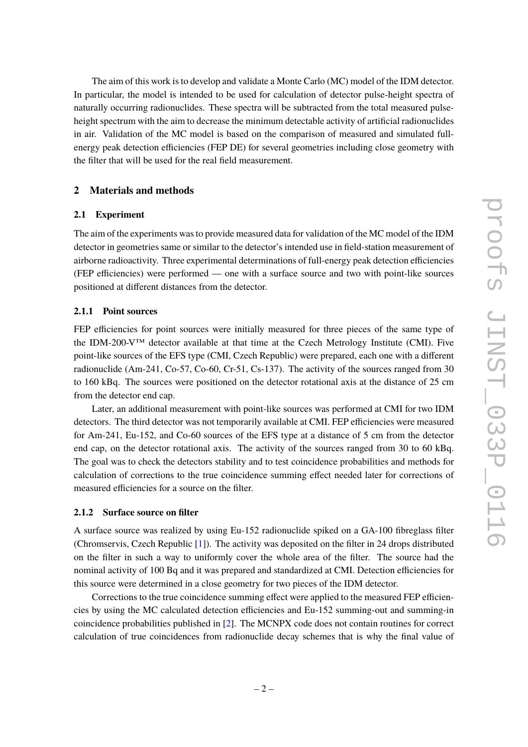The aim of this work is to develop and validate a Monte Carlo (MC) model of the IDM detector. In particular, the model is intended to be used for calculation of detector pulse-height spectra of naturally occurring radionuclides. These spectra will be subtracted from the total measured pulseheight spectrum with the aim to decrease the minimum detectable activity of artificial radionuclides in air. Validation of the MC model is based on the comparison of measured and simulated fullenergy peak detection efficiencies (FEP DE) for several geometries including close geometry with the filter that will be used for the real field measurement.

# <span id="page-2-0"></span>**2 Materials and methods**

#### <span id="page-2-1"></span>**2.1 Experiment**

The aim of the experiments was to provide measured data for validation of the MC model of the IDM detector in geometries same or similar to the detector's intended use in field-station measurement of airborne radioactivity. Three experimental determinations of full-energy peak detection efficiencies (FEP efficiencies) were performed — one with a surface source and two with point-like sources positioned at different distances from the detector.

## <span id="page-2-2"></span>**2.1.1 Point sources**

FEP efficiencies for point sources were initially measured for three pieces of the same type of the IDM-200-V™ detector available at that time at the Czech Metrology Institute (CMI). Five point-like sources of the EFS type (CMI, Czech Republic) were prepared, each one with a different radionuclide (Am-241, Co-57, Co-60, Cr-51, Cs-137). The activity of the sources ranged from 30 to 160 kBq. The sources were positioned on the detector rotational axis at the distance of 25 cm from the detector end cap.

Later, an additional measurement with point-like sources was performed at CMI for two IDM detectors. The third detector was not temporarily available at CMI. FEP efficiencies were measured for Am-241, Eu-152, and Co-60 sources of the EFS type at a distance of 5 cm from the detector end cap, on the detector rotational axis. The activity of the sources ranged from 30 to 60 kBq. The goal was to check the detectors stability and to test coincidence probabilities and methods for calculation of corrections to the true coincidence summing effect needed later for corrections of measured efficiencies for a source on the filter.

#### <span id="page-2-3"></span>**2.1.2 Surface source on filter**

A surface source was realized by using Eu-152 radionuclide spiked on a GA-100 fibreglass filter (Chromservis, Czech Republic [\[1\]](#page-9-0)). The activity was deposited on the filter in 24 drops distributed on the filter in such a way to uniformly cover the whole area of the filter. The source had the nominal activity of 100 Bq and it was prepared and standardized at CMI. Detection efficiencies for this source were determined in a close geometry for two pieces of the IDM detector.

Corrections to the true coincidence summing effect were applied to the measured FEP efficiencies by using the MC calculated detection efficiencies and Eu-152 summing-out and summing-in coincidence probabilities published in [\[2\]](#page-9-1). The MCNPX code does not contain routines for correct calculation of true coincidences from radionuclide decay schemes that is why the final value of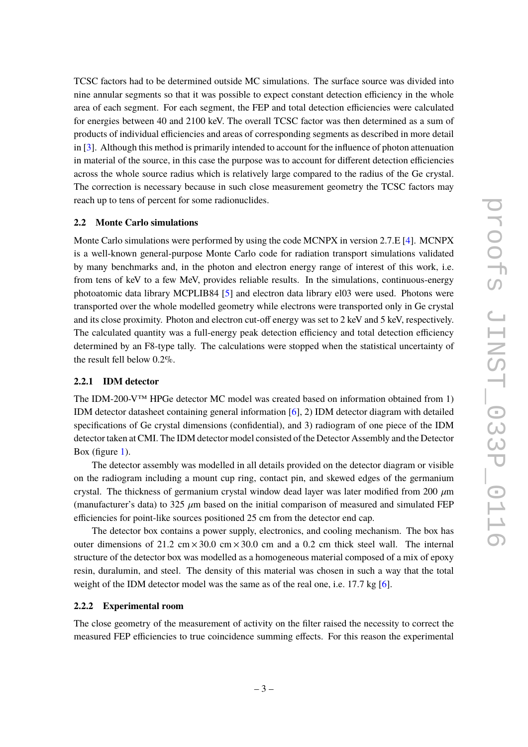TCSC factors had to be determined outside MC simulations. The surface source was divided into nine annular segments so that it was possible to expect constant detection efficiency in the whole area of each segment. For each segment, the FEP and total detection efficiencies were calculated for energies between 40 and 2100 keV. The overall TCSC factor was then determined as a sum of products of individual efficiencies and areas of corresponding segments as described in more detail in [\[3\]](#page-9-2). Although this method is primarily intended to account for the influence of photon attenuation in material of the source, in this case the purpose was to account for different detection efficiencies across the whole source radius which is relatively large compared to the radius of the Ge crystal. The correction is necessary because in such close measurement geometry the TCSC factors may reach up to tens of percent for some radionuclides.

#### <span id="page-3-0"></span>**2.2 Monte Carlo simulations**

Monte Carlo simulations were performed by using the code MCNPX in version 2.7.E [\[4\]](#page-9-3). MCNPX is a well-known general-purpose Monte Carlo code for radiation transport simulations validated by many benchmarks and, in the photon and electron energy range of interest of this work, i.e. from tens of keV to a few MeV, provides reliable results. In the simulations, continuous-energy photoatomic data library MCPLIB84 [\[5\]](#page-9-4) and electron data library el03 were used. Photons were transported over the whole modelled geometry while electrons were transported only in Ge crystal and its close proximity. Photon and electron cut-off energy was set to 2 keV and 5 keV, respectively. The calculated quantity was a full-energy peak detection efficiency and total detection efficiency determined by an F8-type tally. The calculations were stopped when the statistical uncertainty of the result fell below 0.2%.

#### <span id="page-3-1"></span>**2.2.1 IDM detector**

The IDM-200-V™ HPGe detector MC model was created based on information obtained from 1) IDM detector datasheet containing general information [\[6\]](#page-9-5), 2) IDM detector diagram with detailed specifications of Ge crystal dimensions (confidential), and 3) radiogram of one piece of the IDM detector taken at CMI. The IDM detector model consisted of the Detector Assembly and the Detector Box (figure [1\)](#page-4-1).

The detector assembly was modelled in all details provided on the detector diagram or visible on the radiogram including a mount cup ring, contact pin, and skewed edges of the germanium crystal. The thickness of germanium crystal window dead layer was later modified from 200  $\mu$ m (manufacturer's data) to 325  $\mu$ m based on the initial comparison of measured and simulated FEP efficiencies for point-like sources positioned 25 cm from the detector end cap.

The detector box contains a power supply, electronics, and cooling mechanism. The box has outer dimensions of 21.2 cm  $\times$  30.0 cm  $\times$  30.0 cm and a 0.2 cm thick steel wall. The internal structure of the detector box was modelled as a homogeneous material composed of a mix of epoxy resin, duralumin, and steel. The density of this material was chosen in such a way that the total weight of the IDM detector model was the same as of the real one, i.e. 17.7 kg [\[6\]](#page-9-5).

## <span id="page-3-2"></span>**2.2.2 Experimental room**

The close geometry of the measurement of activity on the filter raised the necessity to correct the measured FEP efficiencies to true coincidence summing effects. For this reason the experimental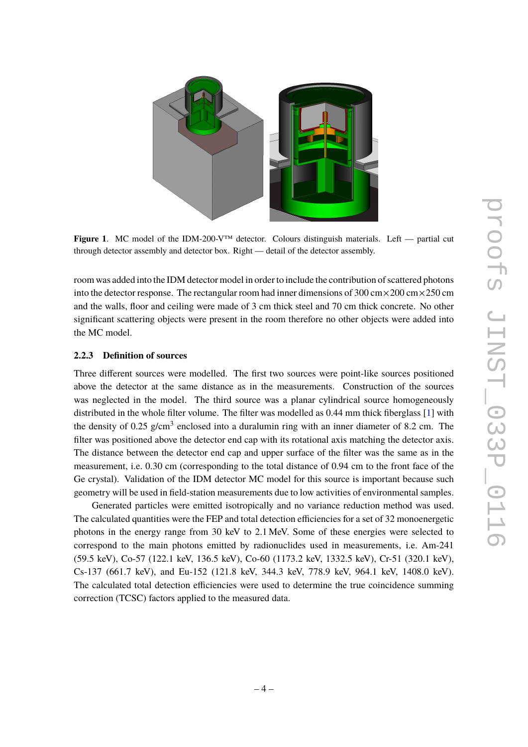

<span id="page-4-1"></span>**Figure 1**. MC model of the IDM-200-V™ detector. Colours distinguish materials. Left — partial cut through detector assembly and detector box. Right — detail of the detector assembly.

room was added into the IDM detector model in order to include the contribution of scattered photons into the detector response. The rectangular room had inner dimensions of  $300 \text{ cm} \times 200 \text{ cm} \times 250 \text{ cm}$ and the walls, floor and ceiling were made of 3 cm thick steel and 70 cm thick concrete. No other significant scattering objects were present in the room therefore no other objects were added into the MC model.

### <span id="page-4-0"></span>**2.2.3 Definition of sources**

Three different sources were modelled. The first two sources were point-like sources positioned above the detector at the same distance as in the measurements. Construction of the sources was neglected in the model. The third source was a planar cylindrical source homogeneously distributed in the whole filter volume. The filter was modelled as 0.44 mm thick fiberglass [\[1\]](#page-9-0) with the density of 0.25  $g/cm<sup>3</sup>$  enclosed into a duralumin ring with an inner diameter of 8.2 cm. The filter was positioned above the detector end cap with its rotational axis matching the detector axis. The distance between the detector end cap and upper surface of the filter was the same as in the measurement, i.e. 0.30 cm (corresponding to the total distance of 0.94 cm to the front face of the Ge crystal). Validation of the IDM detector MC model for this source is important because such geometry will be used in field-station measurements due to low activities of environmental samples.

Generated particles were emitted isotropically and no variance reduction method was used. The calculated quantities were the FEP and total detection efficiencies for a set of 32 monoenergetic photons in the energy range from 30 keV to 2.1 MeV. Some of these energies were selected to correspond to the main photons emitted by radionuclides used in measurements, i.e. Am-241 (59.5 keV), Co-57 (122.1 keV, 136.5 keV), Co-60 (1173.2 keV, 1332.5 keV), Cr-51 (320.1 keV), Cs-137 (661.7 keV), and Eu-152 (121.8 keV, 344.3 keV, 778.9 keV, 964.1 keV, 1408.0 keV). The calculated total detection efficiencies were used to determine the true coincidence summing correction (TCSC) factors applied to the measured data.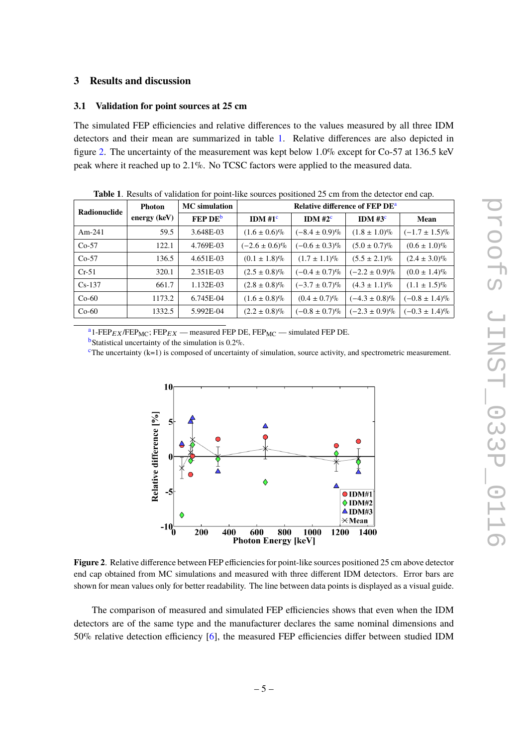## <span id="page-5-0"></span>**3 Results and discussion**

#### <span id="page-5-1"></span>**3.1 Validation for point sources at 25 cm**

The simulated FEP efficiencies and relative differences to the values measured by all three IDM detectors and their mean are summarized in table [1.](#page-5-2) Relative differences are also depicted in figure [2.](#page-5-3) The uncertainty of the measurement was kept below 1.0% except for Co-57 at 136.5 keV peak where it reached up to 2.1%. No TCSC factors were applied to the measured data.

| Radionuclide | <b>Photon</b><br>energy $(keV)$ | <b>MC</b> simulation | Relative difference of FEP DE <sup>a</sup> |                    |                    |                    |  |
|--------------|---------------------------------|----------------------|--------------------------------------------|--------------------|--------------------|--------------------|--|
|              |                                 | FEP DE <sup>b</sup>  | IDM $#1^c$                                 | IDM $#2^c$         | IDM $#3^c$         | Mean               |  |
| $Am-241$     | 59.5                            | 3.648E-03            | $(1.6 \pm 0.6)\%$                          | $(-8.4 \pm 0.9)\%$ | $(1.8 \pm 1.0)\%$  | $(-1.7 \pm 1.5)\%$ |  |
| $Co-57$      | 122.1                           | 4.769E-03            | $(-2.6 \pm 0.6)\%$                         | $(-0.6 \pm 0.3)\%$ | $(5.0 \pm 0.7)\%$  | $(0.6 \pm 1.0)\%$  |  |
| $Co-57$      | 136.5                           | 4.651E-03            | $(0.1 \pm 1.8)\%$                          | $(1.7 \pm 1.1)\%$  | $(5.5 \pm 2.1)\%$  | $(2.4 \pm 3.0)\%$  |  |
| $Cr-51$      | 320.1                           | 2.351E-03            | $(2.5 \pm 0.8)\%$                          | $(-0.4 \pm 0.7)\%$ | $(-2.2 \pm 0.9)\%$ | $(0.0 \pm 1.4)\%$  |  |
| $Cs-137$     | 661.7                           | 1.132E-03            | $(2.8 \pm 0.8)\%$                          | $(-3.7 \pm 0.7)\%$ | $(4.3 \pm 1.1)\%$  | $(1.1 \pm 1.5)\%$  |  |
| $Co-60$      | 1173.2                          | 6.745E-04            | $(1.6 \pm 0.8)\%$                          | $(0.4 \pm 0.7)\%$  | $(-4.3 \pm 0.8)\%$ | $(-0.8 \pm 1.4)\%$ |  |
| $Co-60$      | 1332.5                          | 5.992E-04            | $(2.2 \pm 0.8)\%$                          | $(-0.8 \pm 0.7)\%$ | $(-2.3 \pm 0.9)\%$ | $(-0.3 \pm 1.4)\%$ |  |

<span id="page-5-2"></span>**Table 1**. Results of validation for point-like sources positioned 25 cm from the detector end cap.

<sup>a</sup>1-FEP<sub>EX</sub>/FEP<sub>MC</sub>; FEP<sub>EX</sub> — measured FEP DE, FEP<sub>MC</sub> — simulated FEP DE.

<span id="page-5-4"></span> $<sup>b</sup>$ Statistical uncertainty of the simulation is 0.2%.</sup>

<span id="page-5-6"></span><span id="page-5-5"></span> $c$ The uncertainty (k=1) is composed of uncertainty of simulation, source activity, and spectrometric measurement.



<span id="page-5-3"></span>**Figure 2**. Relative difference between FEP efficiencies for point-like sources positioned 25 cm above detector end cap obtained from MC simulations and measured with three different IDM detectors. Error bars are shown for mean values only for better readability. The line between data points is displayed as a visual guide.

The comparison of measured and simulated FEP efficiencies shows that even when the IDM detectors are of the same type and the manufacturer declares the same nominal dimensions and 50% relative detection efficiency [\[6\]](#page-9-5), the measured FEP efficiencies differ between studied IDM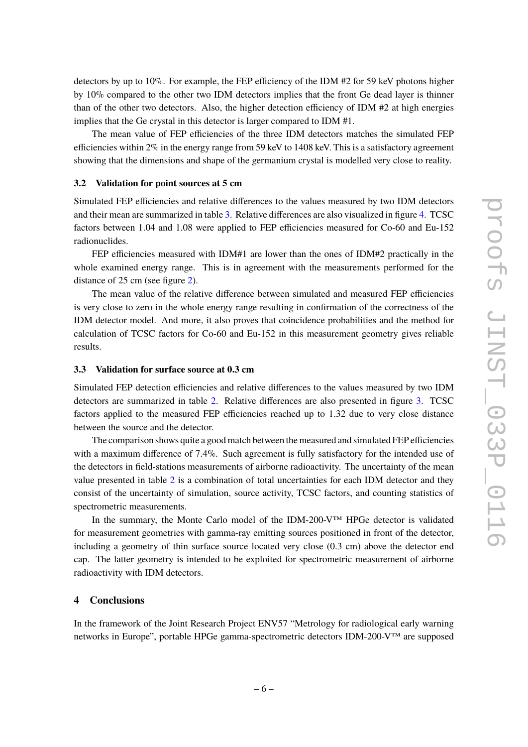detectors by up to 10%. For example, the FEP efficiency of the IDM #2 for 59 keV photons higher by 10% compared to the other two IDM detectors implies that the front Ge dead layer is thinner than of the other two detectors. Also, the higher detection efficiency of IDM #2 at high energies implies that the Ge crystal in this detector is larger compared to IDM #1.

The mean value of FEP efficiencies of the three IDM detectors matches the simulated FEP efficiencies within  $2\%$  in the energy range from 59 keV to 1408 keV. This is a satisfactory agreement showing that the dimensions and shape of the germanium crystal is modelled very close to reality.

#### <span id="page-6-0"></span>**3.2 Validation for point sources at 5 cm**

Simulated FEP efficiencies and relative differences to the values measured by two IDM detectors and their mean are summarized in table [3.](#page-8-0) Relative differences are also visualized in figure [4.](#page-8-1) TCSC factors between 1.04 and 1.08 were applied to FEP efficiencies measured for Co-60 and Eu-152 radionuclides.

FEP efficiencies measured with IDM#1 are lower than the ones of IDM#2 practically in the whole examined energy range. This is in agreement with the measurements performed for the distance of 25 cm (see figure [2\)](#page-5-3).

The mean value of the relative difference between simulated and measured FEP efficiencies is very close to zero in the whole energy range resulting in confirmation of the correctness of the IDM detector model. And more, it also proves that coincidence probabilities and the method for calculation of TCSC factors for Co-60 and Eu-152 in this measurement geometry gives reliable results.

## <span id="page-6-1"></span>**3.3 Validation for surface source at 0.3 cm**

Simulated FEP detection efficiencies and relative differences to the values measured by two IDM detectors are summarized in table [2.](#page-7-0) Relative differences are also presented in figure [3.](#page-7-1) TCSC factors applied to the measured FEP efficiencies reached up to 1.32 due to very close distance between the source and the detector.

The comparison shows quite a good match between the measured and simulated FEP efficiencies with a maximum difference of 7.4%. Such agreement is fully satisfactory for the intended use of the detectors in field-stations measurements of airborne radioactivity. The uncertainty of the mean value presented in table [2](#page-7-0) is a combination of total uncertainties for each IDM detector and they consist of the uncertainty of simulation, source activity, TCSC factors, and counting statistics of spectrometric measurements.

In the summary, the Monte Carlo model of the IDM-200-V™ HPGe detector is validated for measurement geometries with gamma-ray emitting sources positioned in front of the detector, including a geometry of thin surface source located very close (0.3 cm) above the detector end cap. The latter geometry is intended to be exploited for spectrometric measurement of airborne radioactivity with IDM detectors.

## <span id="page-6-2"></span>**4 Conclusions**

In the framework of the Joint Research Project ENV57 "Metrology for radiological early warning networks in Europe", portable HPGe gamma-spectrometric detectors IDM-200-V™ are supposed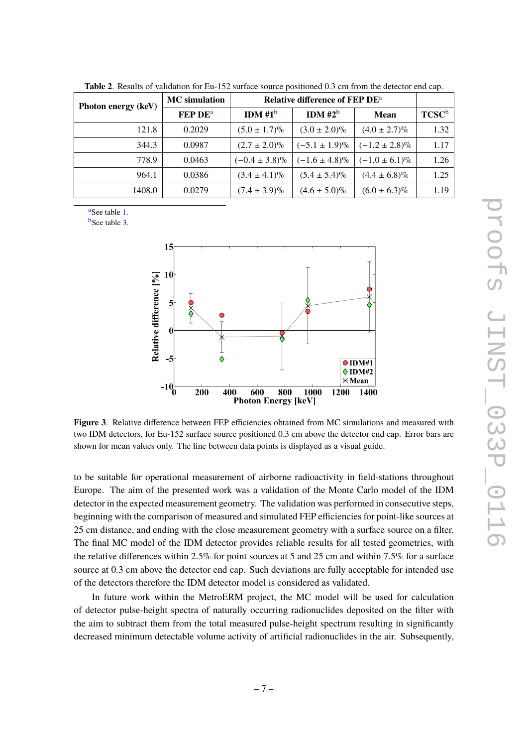| Photon energy (keV) | <b>MC</b> simulation      | <b>Relative difference of FEP DE<sup>a</sup></b> |                    |                    |                          |
|---------------------|---------------------------|--------------------------------------------------|--------------------|--------------------|--------------------------|
|                     | <b>FEP DE<sup>a</sup></b> | IDM $#1^b$                                       | IDM $#2^b$         | Mean               | <b>TCSC</b> <sup>b</sup> |
| 121.8               | 0.2029                    | $(5.0 \pm 1.7)\%$                                | $(3.0 \pm 2.0)\%$  | $(4.0 \pm 2.7)\%$  | 1.32                     |
| 344.3               | 0.0987                    | $(2.7 \pm 2.0)\%$                                | $(-5.1 \pm 1.9)\%$ | $(-1.2 \pm 2.8)\%$ | 1.17                     |
| 778.9               | 0.0463                    | $(-0.4 \pm 3.8)\%$                               | $(-1.6 \pm 4.8)\%$ | $(-1.0 \pm 6.1)\%$ | 1.26                     |
| 964.1               | 0.0386                    | $(3.4 \pm 4.1)\%$                                | $(5.4 \pm 5.4)\%$  | $(4.4 \pm 6.8)\%$  | 1.25                     |
| 1408.0              | 0.0279                    | $(7.4 \pm 3.9)\%$                                | $(4.6 \pm 5.0)\%$  | $(6.0 \pm 6.3)\%$  | 1.19                     |

<span id="page-7-0"></span>**Table 2**. Results of validation for Eu-152 surface source positioned 0.3 cm from the detector end cap.

<sup>a</sup>See table [1.](#page-5-2)

**b**See table [3.](#page-8-0)



<span id="page-7-1"></span>**Figure 3**. Relative difference between FEP efficiencies obtained from MC simulations and measured with two IDM detectors, for Eu-152 surface source positioned 0.3 cm above the detector end cap. Error bars are shown for mean values only. The line between data points is displayed as a visual guide.

to be suitable for operational measurement of airborne radioactivity in field-stations throughout Europe. The aim of the presented work was a validation of the Monte Carlo model of the IDM detector in the expected measurement geometry. The validation was performed in consecutive steps, beginning with the comparison of measured and simulated FEP efficiencies for point-like sources at 25 cm distance, and ending with the close measurement geometry with a surface source on a filter. The final MC model of the IDM detector provides reliable results for all tested geometries, with the relative differences within 2.5% for point sources at 5 and 25 cm and within 7.5% for a surface source at 0.3 cm above the detector end cap. Such deviations are fully acceptable for intended use of the detectors therefore the IDM detector model is considered as validated.

In future work within the MetroERM project, the MC model will be used for calculation of detector pulse-height spectra of naturally occurring radionuclides deposited on the filter with the aim to subtract them from the total measured pulse-height spectrum resulting in significantly decreased minimum detectable volume activity of artificial radionuclides in the air. Subsequently,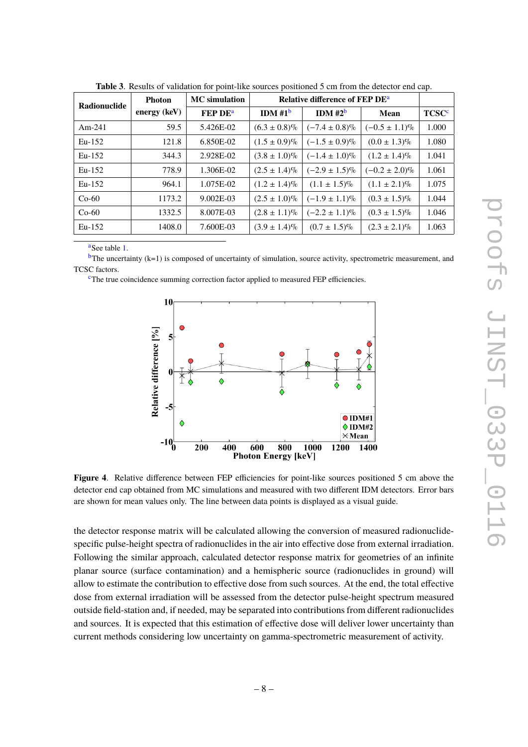| Radionuclide | <b>Photon</b>  | <b>MC</b> simulation      | <b>Relative difference of FEP DE<sup>a</sup></b> |                    |                    |                         |
|--------------|----------------|---------------------------|--------------------------------------------------|--------------------|--------------------|-------------------------|
|              | energy $(keV)$ | <b>FEP DE<sup>a</sup></b> | IDM#1 <sup>b</sup>                               | IDM#2 <sup>b</sup> | Mean               | <b>TCSC<sup>c</sup></b> |
| Am-241       | 59.5           | 5.426E-02                 | $(6.3 \pm 0.8)\%$                                | $(-7.4 \pm 0.8)\%$ | $(-0.5 \pm 1.1)\%$ | 1.000                   |
| $Eu-152$     | 121.8          | 6.850E-02                 | $(1.5 \pm 0.9)\%$                                | $(-1.5 \pm 0.9)\%$ | $(0.0 \pm 1.3)\%$  | 1.080                   |
| $Eu-152$     | 344.3          | 2.928E-02                 | $(3.8 \pm 1.0)\%$                                | $(-1.4 \pm 1.0)\%$ | $(1.2 \pm 1.4)\%$  | 1.041                   |
| $Eu-152$     | 778.9          | 1.306E-02                 | $(2.5 \pm 1.4)\%$                                | $(-2.9 \pm 1.5)\%$ | $(-0.2 \pm 2.0)\%$ | 1.061                   |
| $Eu-152$     | 964.1          | 1.075E-02                 | $(1.2 \pm 1.4)\%$                                | $(1.1 \pm 1.5)\%$  | $(1.1 \pm 2.1)\%$  | 1.075                   |
| $Co-60$      | 1173.2         | $9.002E-03$               | $(2.5 \pm 1.0)\%$                                | $(-1.9 \pm 1.1)\%$ | $(0.3 \pm 1.5)\%$  | 1.044                   |
| $Co-60$      | 1332.5         | 8.007E-03                 | $(2.8 \pm 1.1)\%$                                | $(-2.2 \pm 1.1)\%$ | $(0.3 \pm 1.5)\%$  | 1.046                   |
| $Eu-152$     | 1408.0         | 7.600E-03                 | $(3.9 \pm 1.4)\%$                                | $(0.7 \pm 1.5)\%$  | $(2.3 \pm 2.1)\%$  | 1.063                   |

<span id="page-8-0"></span>**Table 3**. Results of validation for point-like sources positioned 5 cm from the detector end cap.

a<sub>See</sub> table [1.](#page-5-2)

 $<sup>b</sup>$ The uncertainty (k=1) is composed of uncertainty of simulation, source activity, spectrometric measurement, and</sup> TCSC factors.

<sup>c</sup>The true coincidence summing correction factor applied to measured FEP efficiencies.



<span id="page-8-1"></span>**Figure 4.** Relative difference between FEP efficiencies for point-like sources positioned 5 cm above the detector end cap obtained from MC simulations and measured with two different IDM detectors. Error bars are shown for mean values only. The line between data points is displayed as a visual guide.

the detector response matrix will be calculated allowing the conversion of measured radionuclidespecific pulse-height spectra of radionuclides in the air into effective dose from external irradiation. Following the similar approach, calculated detector response matrix for geometries of an infinite planar source (surface contamination) and a hemispheric source (radionuclides in ground) will allow to estimate the contribution to effective dose from such sources. At the end, the total effective dose from external irradiation will be assessed from the detector pulse-height spectrum measured outside field-station and, if needed, may be separated into contributions from different radionuclides and sources. It is expected that this estimation of effective dose will deliver lower uncertainty than current methods considering low uncertainty on gamma-spectrometric measurement of activity.